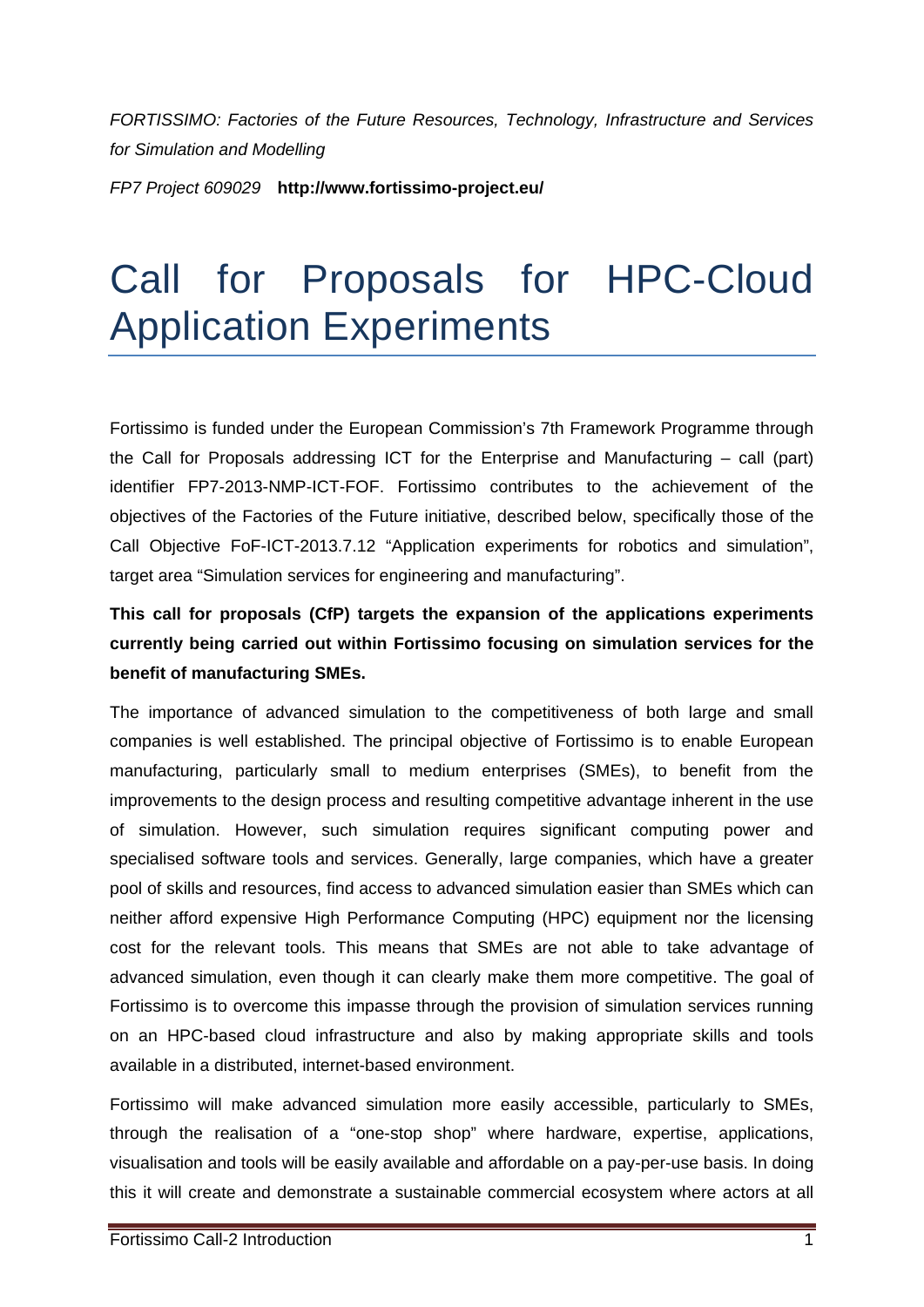*FORTISSIMO: Factories of the Future Resources, Technology, Infrastructure and Services for Simulation and Modelling* 

*FP7 Project 609029* **http://www.fortissimo-project.eu/**

# Call for Proposals for HPC-Cloud Application Experiments

Fortissimo is funded under the European Commission's 7th Framework Programme through the Call for Proposals addressing ICT for the Enterprise and Manufacturing – call (part) identifier FP7-2013-NMP-ICT-FOF. Fortissimo contributes to the achievement of the objectives of the Factories of the Future initiative, described below, specifically those of the Call Objective FoF-ICT-2013.7.12 "Application experiments for robotics and simulation", target area "Simulation services for engineering and manufacturing".

# **This call for proposals (CfP) targets the expansion of the applications experiments currently being carried out within Fortissimo focusing on simulation services for the benefit of manufacturing SMEs.**

The importance of advanced simulation to the competitiveness of both large and small companies is well established. The principal objective of Fortissimo is to enable European manufacturing, particularly small to medium enterprises (SMEs), to benefit from the improvements to the design process and resulting competitive advantage inherent in the use of simulation. However, such simulation requires significant computing power and specialised software tools and services. Generally, large companies, which have a greater pool of skills and resources, find access to advanced simulation easier than SMEs which can neither afford expensive High Performance Computing (HPC) equipment nor the licensing cost for the relevant tools. This means that SMEs are not able to take advantage of advanced simulation, even though it can clearly make them more competitive. The goal of Fortissimo is to overcome this impasse through the provision of simulation services running on an HPC-based cloud infrastructure and also by making appropriate skills and tools available in a distributed, internet-based environment.

Fortissimo will make advanced simulation more easily accessible, particularly to SMEs, through the realisation of a "one-stop shop" where hardware, expertise, applications, visualisation and tools will be easily available and affordable on a pay-per-use basis. In doing this it will create and demonstrate a sustainable commercial ecosystem where actors at all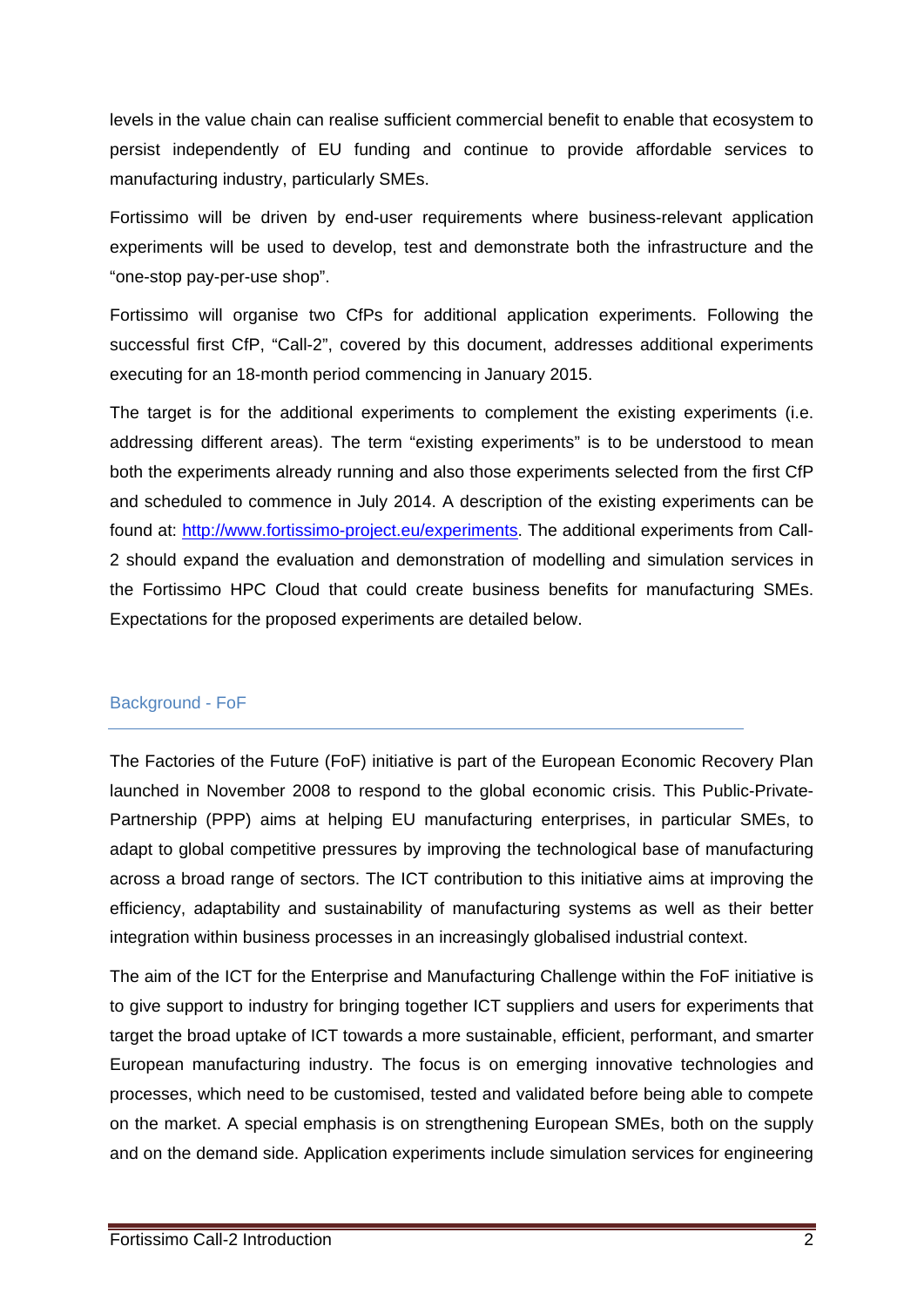levels in the value chain can realise sufficient commercial benefit to enable that ecosystem to persist independently of EU funding and continue to provide affordable services to manufacturing industry, particularly SMEs.

Fortissimo will be driven by end-user requirements where business-relevant application experiments will be used to develop, test and demonstrate both the infrastructure and the "one-stop pay-per-use shop".

Fortissimo will organise two CfPs for additional application experiments. Following the successful first CfP, "Call-2", covered by this document, addresses additional experiments executing for an 18-month period commencing in January 2015.

The target is for the additional experiments to complement the existing experiments (i.e. addressing different areas). The term "existing experiments" is to be understood to mean both the experiments already running and also those experiments selected from the first CfP and scheduled to commence in July 2014. A description of the existing experiments can be found at: http://www.fortissimo-project.eu/experiments. The additional experiments from Call-2 should expand the evaluation and demonstration of modelling and simulation services in the Fortissimo HPC Cloud that could create business benefits for manufacturing SMEs. Expectations for the proposed experiments are detailed below.

## Background - FoF

The Factories of the Future (FoF) initiative is part of the European Economic Recovery Plan launched in November 2008 to respond to the global economic crisis. This Public-Private-Partnership (PPP) aims at helping EU manufacturing enterprises, in particular SMEs, to adapt to global competitive pressures by improving the technological base of manufacturing across a broad range of sectors. The ICT contribution to this initiative aims at improving the efficiency, adaptability and sustainability of manufacturing systems as well as their better integration within business processes in an increasingly globalised industrial context.

The aim of the ICT for the Enterprise and Manufacturing Challenge within the FoF initiative is to give support to industry for bringing together ICT suppliers and users for experiments that target the broad uptake of ICT towards a more sustainable, efficient, performant, and smarter European manufacturing industry. The focus is on emerging innovative technologies and processes, which need to be customised, tested and validated before being able to compete on the market. A special emphasis is on strengthening European SMEs, both on the supply and on the demand side. Application experiments include simulation services for engineering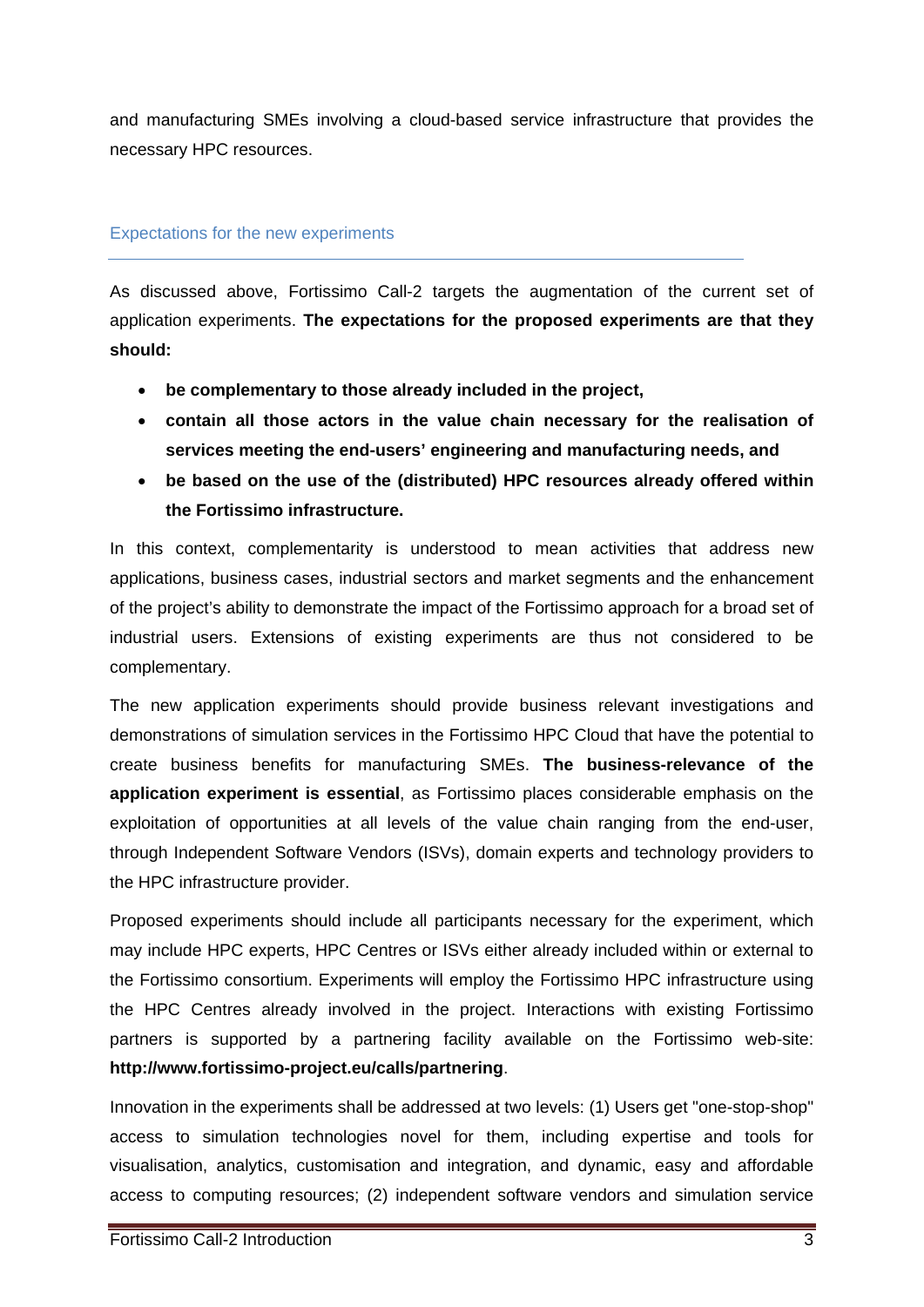and manufacturing SMEs involving a cloud-based service infrastructure that provides the necessary HPC resources.

#### Expectations for the new experiments

As discussed above, Fortissimo Call-2 targets the augmentation of the current set of application experiments. **The expectations for the proposed experiments are that they should:** 

- **be complementary to those already included in the project,**
- **contain all those actors in the value chain necessary for the realisation of services meeting the end-users' engineering and manufacturing needs, and**
- **be based on the use of the (distributed) HPC resources already offered within the Fortissimo infrastructure.**

In this context, complementarity is understood to mean activities that address new applications, business cases, industrial sectors and market segments and the enhancement of the project's ability to demonstrate the impact of the Fortissimo approach for a broad set of industrial users. Extensions of existing experiments are thus not considered to be complementary.

The new application experiments should provide business relevant investigations and demonstrations of simulation services in the Fortissimo HPC Cloud that have the potential to create business benefits for manufacturing SMEs. **The business-relevance of the application experiment is essential**, as Fortissimo places considerable emphasis on the exploitation of opportunities at all levels of the value chain ranging from the end-user, through Independent Software Vendors (ISVs), domain experts and technology providers to the HPC infrastructure provider.

Proposed experiments should include all participants necessary for the experiment, which may include HPC experts, HPC Centres or ISVs either already included within or external to the Fortissimo consortium. Experiments will employ the Fortissimo HPC infrastructure using the HPC Centres already involved in the project. Interactions with existing Fortissimo partners is supported by a partnering facility available on the Fortissimo web-site: **http://www.fortissimo-project.eu/calls/partnering**.

Innovation in the experiments shall be addressed at two levels: (1) Users get "one-stop-shop" access to simulation technologies novel for them, including expertise and tools for visualisation, analytics, customisation and integration, and dynamic, easy and affordable access to computing resources; (2) independent software vendors and simulation service